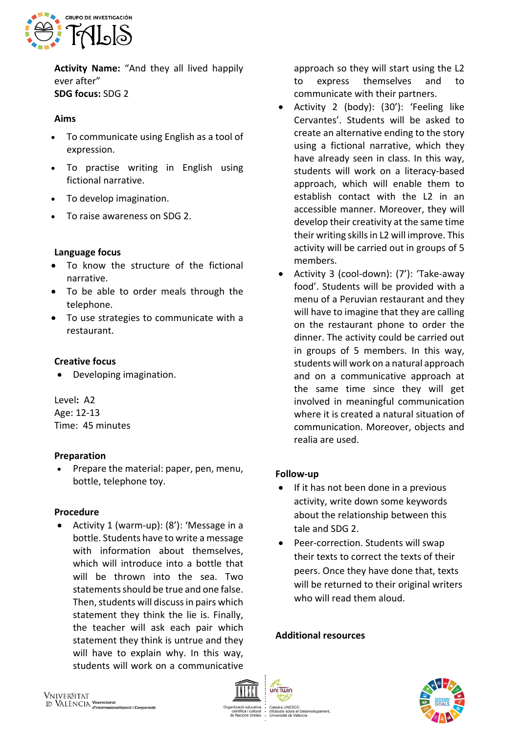

**Activity Name:** "And they all lived happily ever after" **SDG focus:** SDG 2

### **Aims**

- To communicate using English as a tool of expression.
- To practise writing in English using fictional narrative.
- To develop imagination.
- To raise awareness on SDG 2.

# **Language focus**

- To know the structure of the fictional narrative.
- To be able to order meals through the telephone.
- To use strategies to communicate with a restaurant.

### **Creative focus**

• Developing imagination.

Level**:** A2 Age: 12-13 Time: 45 minutes

#### **Preparation**

• Prepare the material: paper, pen, menu, bottle, telephone toy.

#### **Procedure**

• Activity 1 (warm-up): (8'): 'Message in a bottle. Students have to write a message with information about themselves, which will introduce into a bottle that will be thrown into the sea. Two statements should be true and one false. Then, students will discuss in pairs which statement they think the lie is. Finally, the teacher will ask each pair which statement they think is untrue and they will have to explain why. In this way, students will work on a communicative

approach so they will start using the L2 to express themselves and to communicate with their partners.

- Activity 2 (body): (30'): 'Feeling like Cervantes'. Students will be asked to create an alternative ending to the story using a fictional narrative, which they have already seen in class. In this way, students will work on a literacy-based approach, which will enable them to establish contact with the L2 in an accessible manner. Moreover, they will develop their creativity at the same time their writing skills in L2 will improve. This activity will be carried out in groups of 5 members.
- Activity 3 (cool-down): (7'): 'Take-away food'. Students will be provided with a menu of a Peruvian restaurant and they will have to imagine that they are calling on the restaurant phone to order the dinner. The activity could be carried out in groups of 5 members. In this way, students will work on a natural approach and on a communicative approach at the same time since they will get involved in meaningful communication where it is created a natural situation of communication. Moreover, objects and realia are used.

# **Follow-up**

- If it has not been done in a previous activity, write down some keywords about the relationship between this tale and SDG 2.
- Peer-correction. Students will swap their texts to correct the texts of their peers. Once they have done that, texts will be returned to their original writers who will read them aloud.

#### **Additional resources**

ب<br>el Desenvolupament

uis sobre el Des<br>sitat de València